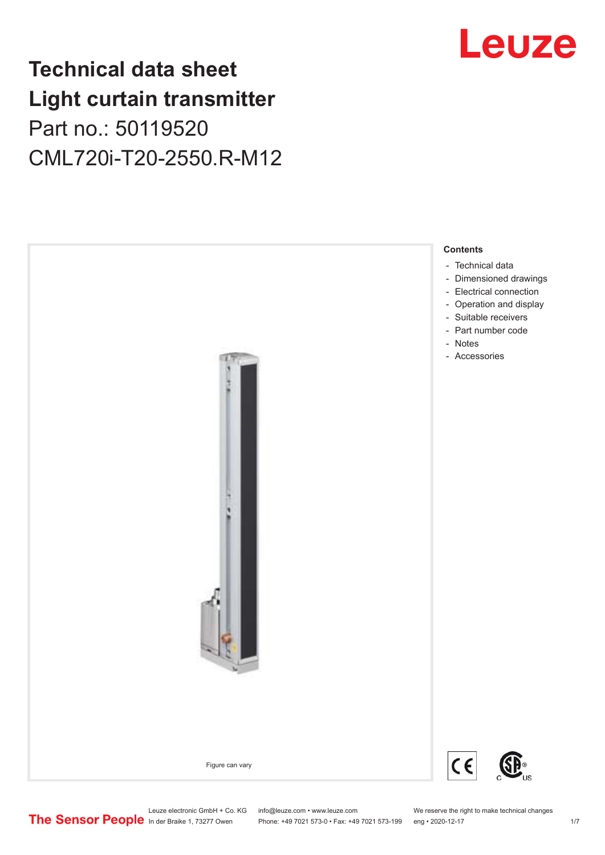## **Technical data sheet Light curtain transmitter** Part no.: 50119520 CML720i-T20-2550.R-M12





Phone: +49 7021 573-0 • Fax: +49 7021 573-199 eng • 2020-12-17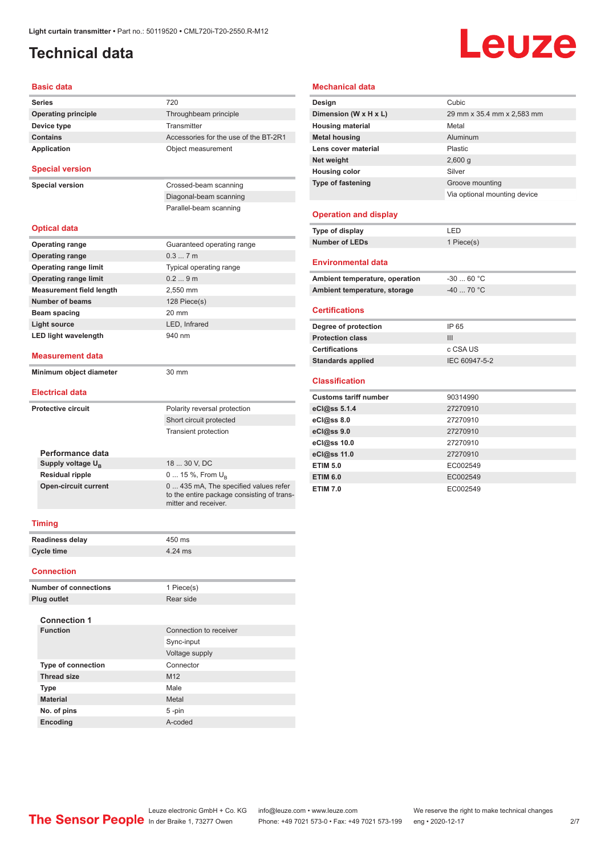## <span id="page-1-0"></span>**Technical data**

# **Leuze**

#### **Basic data**

| <b>Series</b>                                           | 720                                                                |
|---------------------------------------------------------|--------------------------------------------------------------------|
| <b>Operating principle</b>                              | Throughbeam principle                                              |
| Device type                                             | Transmitter                                                        |
| <b>Contains</b>                                         | Accessories for the use of the BT-2R1                              |
| Application                                             | Object measurement                                                 |
| <b>Special version</b>                                  |                                                                    |
|                                                         |                                                                    |
| <b>Special version</b>                                  | Crossed-beam scanning                                              |
|                                                         | Diagonal-beam scanning                                             |
|                                                         | Parallel-beam scanning                                             |
| <b>Optical data</b>                                     |                                                                    |
| <b>Operating range</b>                                  | Guaranteed operating range                                         |
| <b>Operating range</b>                                  | 0.37m                                                              |
| <b>Operating range limit</b>                            | Typical operating range                                            |
| <b>Operating range limit</b>                            | 0.29m                                                              |
| <b>Measurement field length</b>                         | 2,550 mm                                                           |
| <b>Number of beams</b>                                  | 128 Piece(s)                                                       |
| Beam spacing                                            | $20 \text{ mm}$                                                    |
| Light source                                            | LED. Infrared                                                      |
| <b>LED light wavelength</b>                             | 940 nm                                                             |
| <b>Measurement data</b>                                 |                                                                    |
| Minimum object diameter                                 | 30 mm                                                              |
|                                                         |                                                                    |
| <b>Electrical data</b>                                  |                                                                    |
| <b>Protective circuit</b>                               | Polarity reversal protection                                       |
|                                                         | Short circuit protected                                            |
|                                                         | <b>Transient protection</b>                                        |
|                                                         |                                                                    |
| Performance data                                        | 18  30 V, DC                                                       |
| Supply voltage U <sub>B</sub><br><b>Residual ripple</b> | $0 15 \%$ , From $U_{\rm B}$                                       |
| <b>Open-circuit current</b>                             | 0  435 mA, The specified values refer                              |
|                                                         | to the entire package consisting of trans-<br>mitter and receiver. |
| <b>Timing</b>                                           |                                                                    |
|                                                         |                                                                    |

| <b>Readiness delay</b> | 450 ms  |
|------------------------|---------|
| Cycle time             | 4.24 ms |
|                        |         |

#### **Connection**

| <b>Number of connections</b> | 1 Piece(s)             |
|------------------------------|------------------------|
| Plug outlet                  | Rear side              |
| <b>Connection 1</b>          |                        |
| <b>Function</b>              | Connection to receiver |
|                              | Sync-input             |
|                              | Voltage supply         |
| <b>Type of connection</b>    | Connector              |
| <b>Thread size</b>           | M <sub>12</sub>        |
| <b>Type</b>                  | Male                   |
| <b>Material</b>              | Metal                  |
| No. of pins                  | $5 - pin$              |
| <b>Encoding</b>              | A-coded                |

#### **Mechanical data**

| Design                         | Cubic                        |
|--------------------------------|------------------------------|
| Dimension (W x H x L)          | 29 mm x 35.4 mm x 2,583 mm   |
| <b>Housing material</b>        | Metal                        |
| <b>Metal housing</b>           | Aluminum                     |
| Lens cover material            | Plastic                      |
| Net weight                     | $2,600$ g                    |
| <b>Housing color</b>           | Silver                       |
| <b>Type of fastening</b>       | Groove mounting              |
|                                | Via optional mounting device |
| <b>Operation and display</b>   |                              |
| Type of display                | LED                          |
| <b>Number of LEDs</b>          | 1 Piece(s)                   |
| <b>Environmental data</b>      |                              |
| Ambient temperature, operation | $-30$ 60 °C                  |
| Ambient temperature, storage   | $-40$ 70 °C                  |

#### **Certifications**

| Degree of protection     | IP 65         |
|--------------------------|---------------|
| <b>Protection class</b>  | Ш             |
| <b>Certifications</b>    | c CSA US      |
| <b>Standards applied</b> | IEC 60947-5-2 |
|                          |               |

#### **Classification**

| <b>Customs tariff number</b> | 90314990 |
|------------------------------|----------|
| eCl@ss 5.1.4                 | 27270910 |
| eCl@ss 8.0                   | 27270910 |
| eCl@ss 9.0                   | 27270910 |
| eCl@ss 10.0                  | 27270910 |
| eCl@ss 11.0                  | 27270910 |
| <b>ETIM 5.0</b>              | EC002549 |
| <b>ETIM 6.0</b>              | EC002549 |
| <b>ETIM 7.0</b>              | EC002549 |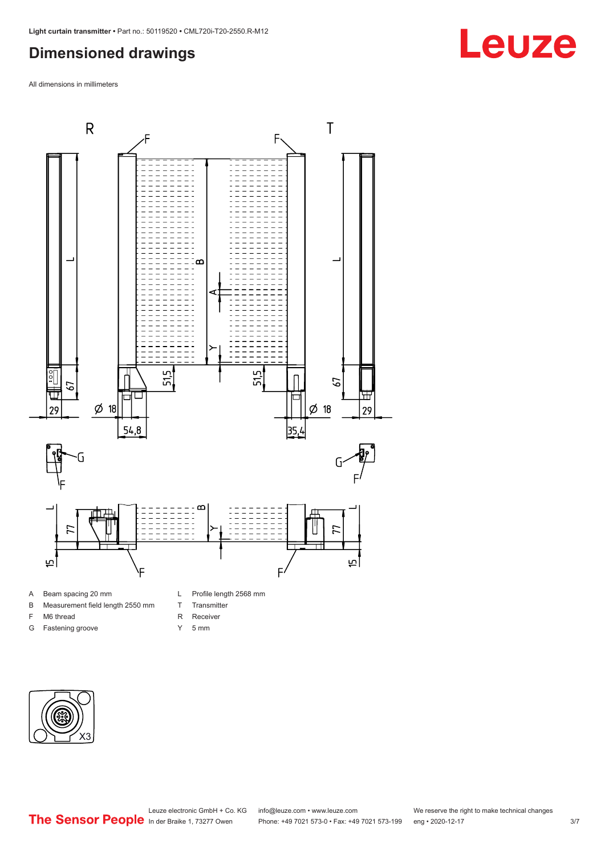## <span id="page-2-0"></span>**Dimensioned drawings**

All dimensions in millimeters



#### A Beam spacing 20 mm

- B Measurement field length 2550 mm
- F M6 thread
- G Fastening groove
- L Profile length 2568 mm
- T Transmitter
- R Receiver
- Y 5 mm



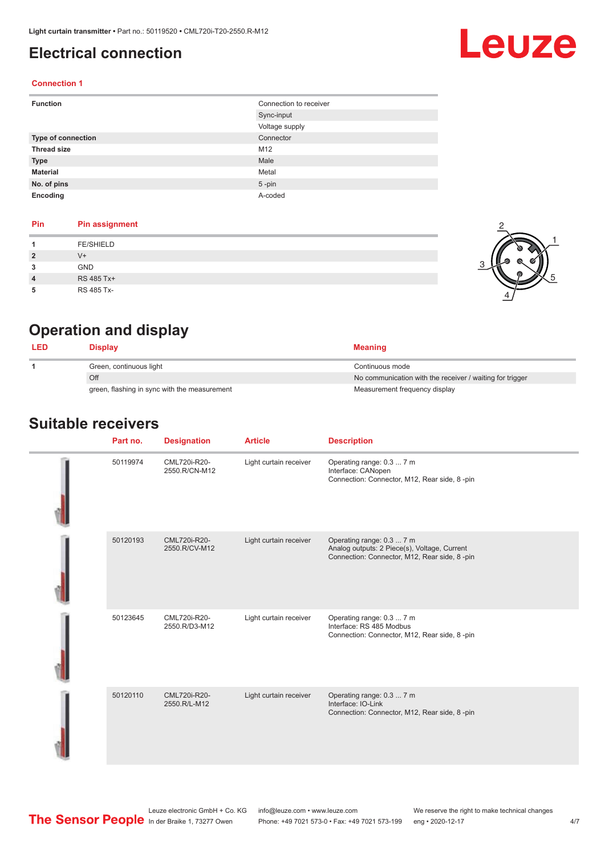### <span id="page-3-0"></span>**Electrical connection**

## Leuze

2

1

5

#### **Connection 1**

| <b>Function</b>           | Connection to receiver |
|---------------------------|------------------------|
|                           | Sync-input             |
|                           | Voltage supply         |
| <b>Type of connection</b> | Connector              |
| <b>Thread size</b>        | M12                    |
| <b>Type</b>               | Male                   |
| <b>Material</b>           | Metal                  |
| No. of pins               | $5$ -pin               |
| Encoding                  | A-coded                |

#### **Pin Pin assignment**

|                | <b>FE/SHIELD</b> |  |
|----------------|------------------|--|
| $\overline{2}$ | V+               |  |
| 3              | GND              |  |
| $\overline{4}$ | RS 485 Tx+       |  |
| 5              | RS 485 Tx-       |  |

## **Operation and display**

| <b>LED</b> | Display                                      | <b>Meaning</b>                                           |
|------------|----------------------------------------------|----------------------------------------------------------|
|            | Green, continuous light                      | Continuous mode                                          |
|            | Off                                          | No communication with the receiver / waiting for trigger |
|            | green, flashing in sync with the measurement | Measurement frequency display                            |

#### **Suitable receivers**

| Part no. | <b>Designation</b>            | <b>Article</b>         | <b>Description</b>                                                                                                        |
|----------|-------------------------------|------------------------|---------------------------------------------------------------------------------------------------------------------------|
| 50119974 | CML720i-R20-<br>2550.R/CN-M12 | Light curtain receiver | Operating range: 0.3  7 m<br>Interface: CANopen<br>Connection: Connector, M12, Rear side, 8-pin                           |
| 50120193 | CML720i-R20-<br>2550.R/CV-M12 | Light curtain receiver | Operating range: 0.3  7 m<br>Analog outputs: 2 Piece(s), Voltage, Current<br>Connection: Connector, M12, Rear side, 8-pin |
| 50123645 | CML720i-R20-<br>2550.R/D3-M12 | Light curtain receiver | Operating range: 0.3  7 m<br>Interface: RS 485 Modbus<br>Connection: Connector, M12, Rear side, 8-pin                     |
| 50120110 | CML720i-R20-<br>2550.R/L-M12  | Light curtain receiver | Operating range: 0.3  7 m<br>Interface: IO-Link<br>Connection: Connector, M12, Rear side, 8-pin                           |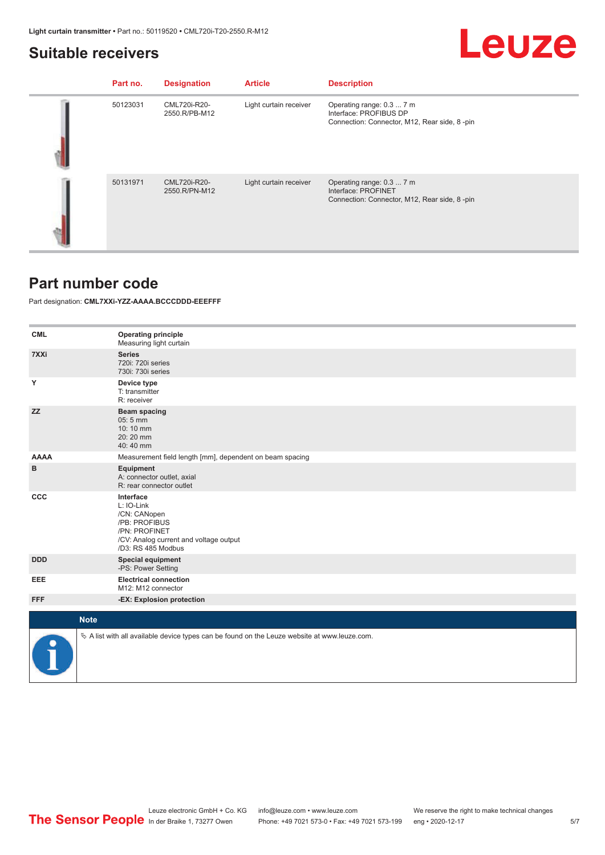### <span id="page-4-0"></span>**Suitable receivers**

## **Leuze**

| Part no. | <b>Designation</b>            | <b>Article</b>         | <b>Description</b>                                                                                  |
|----------|-------------------------------|------------------------|-----------------------------------------------------------------------------------------------------|
| 50123031 | CML720i-R20-<br>2550.R/PB-M12 | Light curtain receiver | Operating range: 0.3  7 m<br>Interface: PROFIBUS DP<br>Connection: Connector, M12, Rear side, 8-pin |
| 50131971 | CML720i-R20-<br>2550.R/PN-M12 | Light curtain receiver | Operating range: 0.3  7 m<br>Interface: PROFINET<br>Connection: Connector, M12, Rear side, 8-pin    |

#### **Part number code**

#### Part designation: **CML7XXi-YZZ-AAAA.BCCCDDD-EEEFFF**

| <b>CML</b>  | <b>Operating principle</b><br>Measuring light curtain                                                                                     |
|-------------|-------------------------------------------------------------------------------------------------------------------------------------------|
| 7XXi        | <b>Series</b><br>720i: 720i series<br>730i: 730i series                                                                                   |
| Y           | Device type<br>T: transmitter<br>R: receiver                                                                                              |
| <b>ZZ</b>   | <b>Beam spacing</b><br>05:5 mm<br>10:10 mm<br>20:20 mm<br>40:40 mm                                                                        |
| <b>AAAA</b> | Measurement field length [mm], dependent on beam spacing                                                                                  |
| в           | <b>Equipment</b><br>A: connector outlet, axial<br>R: rear connector outlet                                                                |
| CCC         | Interface<br>L: IO-Link<br>/CN: CANopen<br>/PB: PROFIBUS<br>/PN: PROFINET<br>/CV: Analog current and voltage output<br>/D3: RS 485 Modbus |
| <b>DDD</b>  | <b>Special equipment</b><br>-PS: Power Setting                                                                                            |
| <b>EEE</b>  | <b>Electrical connection</b><br>M12: M12 connector                                                                                        |
| <b>FFF</b>  | -EX: Explosion protection                                                                                                                 |
| <b>Note</b> |                                                                                                                                           |
|             | $\&$ A list with all available device types can be found on the Leuze website at www.leuze.com.                                           |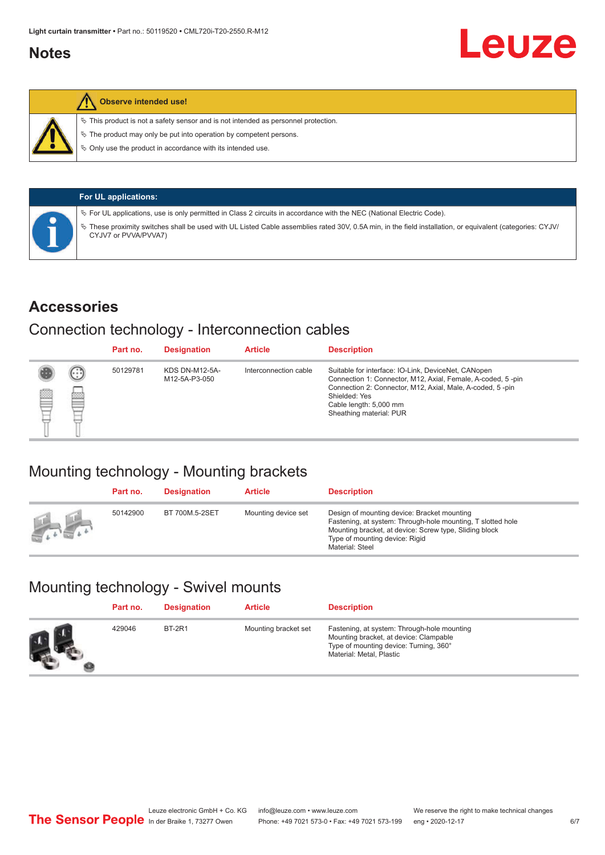#### <span id="page-5-0"></span>**Notes**



#### **Observe intended use!**

 $\%$  This product is not a safety sensor and is not intended as personnel protection.

 $\%$  The product may only be put into operation by competent persons.

 $\%$  Only use the product in accordance with its intended use.

|  | <b>For UL applications:</b>                                                                                                                                                       |
|--|-----------------------------------------------------------------------------------------------------------------------------------------------------------------------------------|
|  | V For UL applications, use is only permitted in Class 2 circuits in accordance with the NEC (National Electric Code).                                                             |
|  | V These proximity switches shall be used with UL Listed Cable assemblies rated 30V, 0.5A min, in the field installation, or equivalent (categories: CYJV/<br>CYJV7 or PVVA/PVVA7) |

#### **Accessories**

### Connection technology - Interconnection cables

|   |        | Part no. | <b>Designation</b>                     | <b>Article</b>        | <b>Description</b>                                                                                                                                                                                                                                    |
|---|--------|----------|----------------------------------------|-----------------------|-------------------------------------------------------------------------------------------------------------------------------------------------------------------------------------------------------------------------------------------------------|
| Ø | ⊙<br>œ | 50129781 | <b>KDS DN-M12-5A-</b><br>M12-5A-P3-050 | Interconnection cable | Suitable for interface: IO-Link, DeviceNet, CANopen<br>Connection 1: Connector, M12, Axial, Female, A-coded, 5-pin<br>Connection 2: Connector, M12, Axial, Male, A-coded, 5-pin<br>Shielded: Yes<br>Cable length: 5,000 mm<br>Sheathing material: PUR |

## Mounting technology - Mounting brackets

|               | Part no. | <b>Designation</b> | <b>Article</b>      | <b>Description</b>                                                                                                                                                                                                        |
|---------------|----------|--------------------|---------------------|---------------------------------------------------------------------------------------------------------------------------------------------------------------------------------------------------------------------------|
| <b>Altres</b> | 50142900 | BT 700M.5-2SET     | Mounting device set | Design of mounting device: Bracket mounting<br>Fastening, at system: Through-hole mounting, T slotted hole<br>Mounting bracket, at device: Screw type, Sliding block<br>Type of mounting device: Rigid<br>Material: Steel |

## Mounting technology - Swivel mounts

| Part no. | <b>Designation</b> | <b>Article</b>       | <b>Description</b>                                                                                                                                          |
|----------|--------------------|----------------------|-------------------------------------------------------------------------------------------------------------------------------------------------------------|
| 429046   | <b>BT-2R1</b>      | Mounting bracket set | Fastening, at system: Through-hole mounting<br>Mounting bracket, at device: Clampable<br>Type of mounting device: Turning, 360°<br>Material: Metal, Plastic |

Leuze